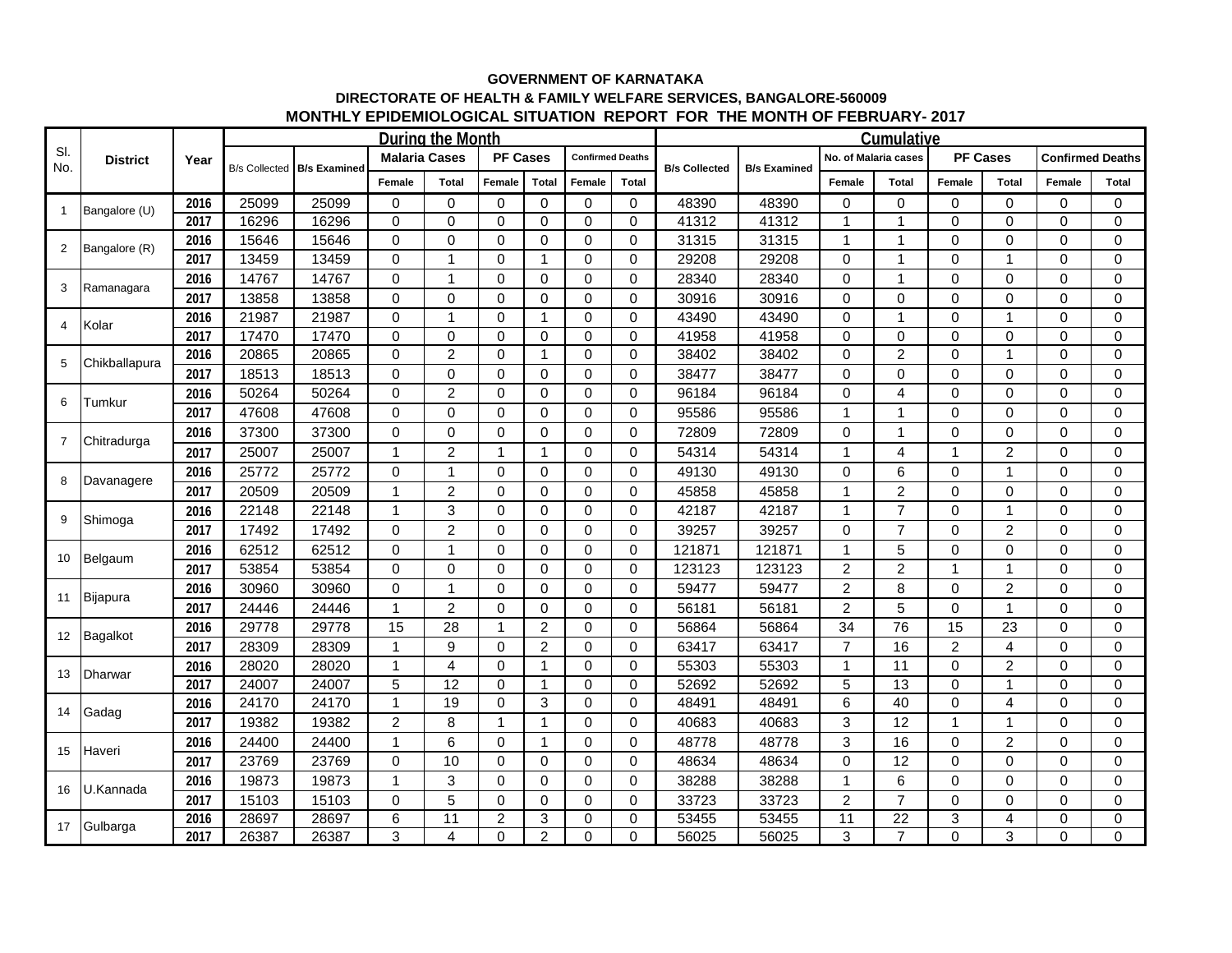## **GOVERNMENT OF KARNATAKA DIRECTORATE OF HEALTH & FAMILY WELFARE SERVICES, BANGALORE-560009 MONTHLY EPIDEMIOLOGICAL SITUATION REPORT FOR THE MONTH OF FEBRUARY- 2017**

| SI.<br>No.     | <b>District</b> | Year |                      |                     |                      |                 |                 | Cumulative     |                         |              |                      |                     |                      |                 |                 |                |                         |                |
|----------------|-----------------|------|----------------------|---------------------|----------------------|-----------------|-----------------|----------------|-------------------------|--------------|----------------------|---------------------|----------------------|-----------------|-----------------|----------------|-------------------------|----------------|
|                |                 |      | <b>B/s Collected</b> | <b>B/s Examined</b> | <b>Malaria Cases</b> |                 | <b>PF Cases</b> |                | <b>Confirmed Deaths</b> |              | <b>B/s Collected</b> | <b>B/s Examined</b> | No. of Malaria cases |                 | <b>PF Cases</b> |                | <b>Confirmed Deaths</b> |                |
|                |                 |      |                      |                     | Female               | <b>Total</b>    | Female          | <b>Total</b>   | Female                  | <b>Total</b> |                      |                     | Female               | <b>Total</b>    | Female          | <b>Total</b>   | Female                  | <b>Total</b>   |
| $\mathbf{1}$   | Bangalore (U)   | 2016 | 25099                | 25099               | $\Omega$             | $\Omega$        | $\Omega$        | $\Omega$       | $\Omega$                | $\Omega$     | 48390                | 48390               | $\Omega$             | $\Omega$        | $\Omega$        | $\Omega$       | $\Omega$                | $\Omega$       |
|                |                 | 2017 | 16296                | 16296               | $\mathbf 0$          | $\mathbf 0$     | 0               | 0              | 0                       | $\mathbf 0$  | 41312                | 41312               | 1                    | 1               | 0               | $\mathbf 0$    | 0                       | $\Omega$       |
| $\overline{2}$ | Bangalore (R)   | 2016 | 15646                | 15646               | 0                    | 0               | 0               | 0              | $\mathbf 0$             | $\mathbf 0$  | 31315                | 31315               | $\mathbf{1}$         | 1               | $\mathbf 0$     | $\mathbf 0$    | 0                       | $\Omega$       |
|                |                 | 2017 | 13459                | 13459               | $\mathbf 0$          | -1              | $\mathbf 0$     | 1              | $\Omega$                | $\mathbf 0$  | 29208                | 29208               | $\mathbf 0$          | 1               | $\Omega$        | $\mathbf 1$    | $\Omega$                | $\Omega$       |
| 3              | Ramanagara      | 2016 | 14767                | 14767               | $\Omega$             | -1              | $\Omega$        | 0              | $\Omega$                | $\Omega$     | 28340                | 28340               | 0                    | 1               | $\Omega$        | $\Omega$       | $\Omega$                | $\Omega$       |
|                |                 | 2017 | 13858                | 13858               | 0                    | 0               | 0               | $\mathbf 0$    | $\mathbf 0$             | $\mathbf 0$  | 30916                | 30916               | 0                    | 0               | 0               | $\mathbf 0$    | 0                       | $\Omega$       |
| 4              | Kolar           | 2016 | 21987                | 21987               | $\mathbf 0$          | -1              | 0               | 1              | $\Omega$                | $\mathbf 0$  | 43490                | 43490               | $\mathbf 0$          | 1               | $\Omega$        | $\mathbf 1$    | 0                       | $\Omega$       |
|                |                 | 2017 | 17470                | 17470               | $\Omega$             | $\Omega$        | 0               | $\Omega$       | $\Omega$                | $\Omega$     | 41958                | 41958               | $\Omega$             | $\Omega$        | $\Omega$        | $\Omega$       | $\Omega$                | $\Omega$       |
| 5              | Chikballapura   | 2016 | 20865                | 20865               | 0                    | $\overline{c}$  | 0               | -1             | 0                       | 0            | 38402                | 38402               | 0                    | 2               | $\Omega$        | 1              | 0                       | 0              |
|                |                 | 2017 | 18513                | 18513               | $\Omega$             | $\mathbf 0$     | $\Omega$        | 0              | $\mathbf 0$             | $\Omega$     | 38477                | 38477               | 0                    | 0               | $\Omega$        | $\mathbf 0$    | 0                       | $\Omega$       |
| 6              | Tumkur          | 2016 | 50264                | 50264               | $\Omega$             | $\overline{2}$  | $\Omega$        | $\Omega$       | $\Omega$                | $\Omega$     | 96184                | 96184               | 0                    | 4               | $\Omega$        | $\Omega$       | $\Omega$                | $\Omega$       |
|                |                 | 2017 | 47608                | 47608               | $\Omega$             | $\Omega$        | 0               | $\Omega$       | $\Omega$                | 0            | 95586                | 95586               | 1                    | 1               | 0               | $\Omega$       | $\Omega$                | $\Omega$       |
| $\overline{7}$ | Chitradurga     | 2016 | 37300                | 37300               | $\Omega$             | $\Omega$        | $\Omega$        | 0              | $\Omega$                | $\Omega$     | 72809                | 72809               | 0                    | 1               | 0               | $\Omega$       | $\Omega$                | $\Omega$       |
|                |                 | 2017 | 25007                | 25007               | 1                    | $\overline{2}$  | $\mathbf{1}$    | -1             | $\Omega$                | $\Omega$     | 54314                | 54314               | $\mathbf{1}$         | 4               | $\overline{1}$  | $\overline{2}$ | $\Omega$                | $\Omega$       |
| 8              | Davanagere      | 2016 | 25772                | 25772               | $\Omega$             | 1               | $\Omega$        | $\Omega$       | $\Omega$                | $\Omega$     | 49130                | 49130               | 0                    | 6               | $\Omega$        | 1              | $\Omega$                | $\Omega$       |
|                |                 | 2017 | 20509                | 20509               | -1                   | $\overline{2}$  | 0               | $\mathbf 0$    | $\Omega$                | 0            | 45858                | 45858               | $\mathbf{1}$         | $\overline{2}$  | $\Omega$        | 0              | 0                       | $\Omega$       |
| 9              | Shimoga         | 2016 | 22148                | 22148               | -1                   | 3               | $\Omega$        | $\mathbf 0$    | $\Omega$                | $\Omega$     | 42187                | 42187               | $\mathbf{1}$         | $\overline{7}$  | $\Omega$        | 1              | $\Omega$                | $\Omega$       |
|                |                 | 2017 | 17492                | 17492               | $\Omega$             | $\overline{2}$  | $\Omega$        | $\mathbf 0$    | $\Omega$                | $\Omega$     | 39257                | 39257               | 0                    | $\overline{7}$  | $\Omega$        | $\overline{2}$ | $\Omega$                | $\Omega$       |
|                | Belgaum         | 2016 | 62512                | 62512               | 0                    | 1               | 0               | $\mathbf 0$    | 0                       | 0            | 121871               | 121871              | $\mathbf{1}$         | 5               | $\Omega$        | $\mathbf 0$    | 0                       | $\Omega$       |
| 10             |                 | 2017 | 53854                | 53854               | $\Omega$             | $\Omega$        | $\Omega$        | $\mathbf 0$    | $\Omega$                | $\Omega$     | 123123               | 123123              | $\overline{c}$       | $\overline{c}$  | 1               | 1              | $\Omega$                | $\Omega$       |
|                | Bijapura        | 2016 | 30960                | 30960               | $\Omega$             | -1              | 0               | $\Omega$       | $\Omega$                | $\Omega$     | 59477                | 59477               | $\overline{c}$       | 8               | $\Omega$        | $\overline{2}$ | $\Omega$                | $\Omega$       |
| 11             |                 | 2017 | 24446                | 24446               | 1                    | $\overline{2}$  | 0               | $\mathbf 0$    | $\mathbf 0$             | $\mathbf 0$  | 56181                | 56181               | $\overline{c}$       | 5               | $\mathbf 0$     | 1              | 0                       | 0              |
|                | 12 Bagalkot     | 2016 | 29778                | 29778               | 15                   | 28              | $\mathbf{1}$    | 2              | $\Omega$                | $\mathbf 0$  | 56864                | 56864               | 34                   | 76              | 15              | 23             | $\Omega$                | $\Omega$       |
|                |                 | 2017 | 28309                | 28309               | 1                    | 9               | $\Omega$        | $\overline{2}$ | $\Omega$                | $\Omega$     | 63417                | 63417               | $\overline{7}$       | 16              | $\overline{c}$  | $\overline{4}$ | $\Omega$                | $\Omega$       |
| 13             | <b>Dharwar</b>  | 2016 | 28020                | 28020               | -1                   | $\overline{4}$  | $\Omega$        | 1              | $\Omega$                | $\Omega$     | 55303                | 55303               | $\mathbf{1}$         | 11              | $\Omega$        | $\overline{c}$ | $\Omega$                | $\Omega$       |
|                |                 | 2017 | 24007                | 24007               | 5                    | 12              | 0               |                | 0                       | $\mathbf 0$  | 52692                | 52692               | 5                    | 13              | $\Omega$        |                | 0                       | $\mathbf 0$    |
| 14             | Gadag           | 2016 | 24170                | 24170               | 1                    | 19              | $\mathbf 0$     | 3              | $\Omega$                | $\mathbf 0$  | 48491                | 48491               | 6                    | 40              | $\Omega$        | $\overline{4}$ | $\Omega$                | $\overline{0}$ |
|                |                 | 2017 | 19382                | 19382               | 2                    | 8               | $\mathbf{1}$    | 1              | $\Omega$                | $\Omega$     | 40683                | 40683               | 3                    | 12              | 1               | 1              | $\Omega$                | $\Omega$       |
| 15             | Haveri          | 2016 | 24400                | 24400               | 1                    | 6               | $\mathbf 0$     | 1              | $\Omega$                | 0            | 48778                | 48778               | 3                    | 16              | $\Omega$        | $\overline{c}$ | 0                       | 0              |
|                |                 | 2017 | 23769                | 23769               | $\Omega$             | 10              | $\mathbf 0$     | 0              | $\Omega$                | 0            | 48634                | 48634               | 0                    | 12              | $\Omega$        | $\Omega$       | $\Omega$                | $\Omega$       |
| 16             | U.Kannada       | 2016 | 19873                | 19873               | -1                   | 3               | 0               | $\Omega$       | $\Omega$                | $\Omega$     | 38288                | 38288               | 1                    | 6               | $\Omega$        | $\Omega$       | $\Omega$                | $\Omega$       |
|                |                 | 2017 | 15103                | 15103               | 0                    | 5               | 0               | 0              | $\mathbf 0$             | 0            | 33723                | 33723               | $\boldsymbol{2}$     | $\overline{7}$  | $\Omega$        | 0              | 0                       | 0              |
| 17             | Gulbarga        | 2016 | 28697                | 28697               | 6                    | $\overline{11}$ | $\overline{2}$  | 3              | $\Omega$                | $\mathbf 0$  | 53455                | 53455               | $\overline{11}$      | $\overline{22}$ | 3               | 4              | 0                       | $\Omega$       |
|                |                 | 2017 | 26387                | 26387               | 3                    | $\overline{4}$  | $\Omega$        | $\overline{2}$ | $\Omega$                | $\Omega$     | 56025                | 56025               | 3                    | $\overline{7}$  | 0               | 3              | $\Omega$                | $\Omega$       |